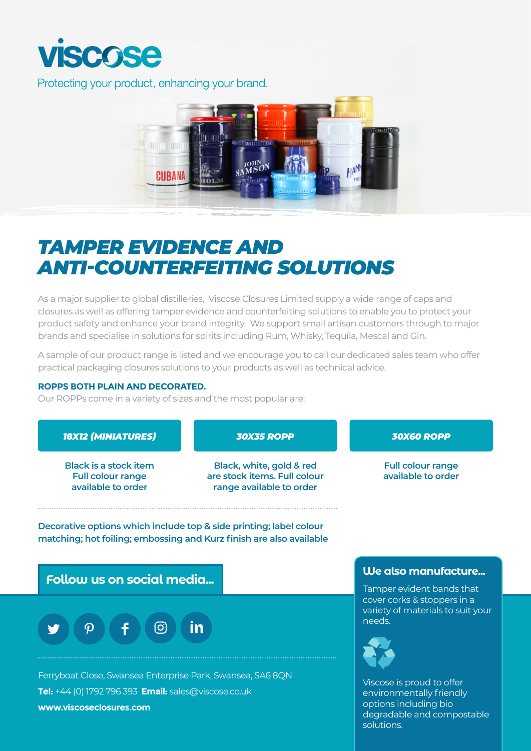

Protecting your product, enhancing your brand.



## *TAMPER EVIDENCE AND ANTI-COUNTERFEITING SOLUTIONS*

As a major supplier to global distilleries, Viscose Closures Limited supply a wide range of caps and closures as well as offering tamper evidence and counterfeiting solutions to enable you to protect your product safety and enhance your brand integrity. We support small artisan customers through to major brands and specialise in solutions for spirits including Rum, Whisky, Tequila, Mescal and Gin.

A sample of our product range is listed and we encourage you to call our dedicated sales team who offer practical packaging closures solutions to your products as well as technical advice.

## **ROPPS BOTH PLAIN AND DECORATED.**

Our ROPPs come in a variety of sizes and the most popular are:



degradable and compostable solutions.